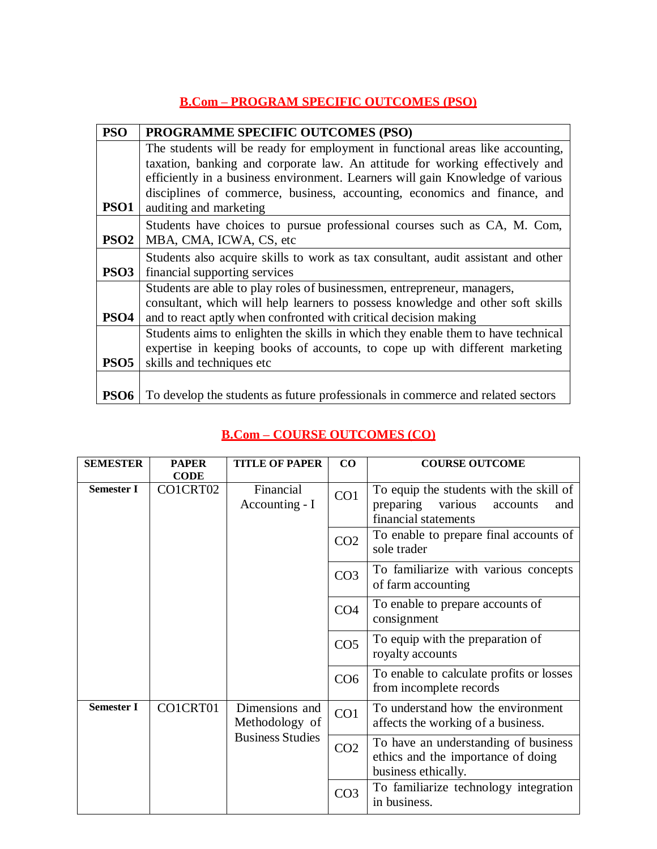## **B.Com – PROGRAM SPECIFIC OUTCOMES (PSO)**

| <b>PSO</b>       | PROGRAMME SPECIFIC OUTCOMES (PSO)                                                 |
|------------------|-----------------------------------------------------------------------------------|
|                  | The students will be ready for employment in functional areas like accounting,    |
|                  | taxation, banking and corporate law. An attitude for working effectively and      |
|                  | efficiently in a business environment. Learners will gain Knowledge of various    |
|                  | disciplines of commerce, business, accounting, economics and finance, and         |
| PSO <sub>1</sub> | auditing and marketing                                                            |
|                  | Students have choices to pursue professional courses such as CA, M. Com,          |
| PSO <sub>2</sub> | MBA, CMA, ICWA, CS, etc                                                           |
|                  | Students also acquire skills to work as tax consultant, audit assistant and other |
| PSO <sub>3</sub> | financial supporting services                                                     |
|                  | Students are able to play roles of businessmen, entrepreneur, managers,           |
|                  | consultant, which will help learners to possess knowledge and other soft skills   |
| PSO4             | and to react aptly when confronted with critical decision making                  |
|                  | Students aims to enlighten the skills in which they enable them to have technical |
|                  | expertise in keeping books of accounts, to cope up with different marketing       |
| PSO <sub>5</sub> | skills and techniques etc.                                                        |
|                  |                                                                                   |
| PSO <sub>6</sub> | To develop the students as future professionals in commerce and related sectors   |

## **B.Com – COURSE OUTCOMES (CO)**

| <b>SEMESTER</b>   | <b>PAPER</b><br><b>CODE</b> | <b>TITLE OF PAPER</b>            | CO              | <b>COURSE OUTCOME</b>                                                                                      |
|-------------------|-----------------------------|----------------------------------|-----------------|------------------------------------------------------------------------------------------------------------|
| <b>Semester I</b> | CO1CRT02                    | Financial<br>Accounting - I      | CO <sub>1</sub> | To equip the students with the skill of<br>preparing<br>various<br>accounts<br>and<br>financial statements |
|                   |                             |                                  | CO <sub>2</sub> | To enable to prepare final accounts of<br>sole trader                                                      |
|                   |                             |                                  | CO <sub>3</sub> | To familiarize with various concepts<br>of farm accounting                                                 |
|                   |                             |                                  | CO <sub>4</sub> | To enable to prepare accounts of<br>consignment                                                            |
|                   |                             |                                  | CO <sub>5</sub> | To equip with the preparation of<br>royalty accounts                                                       |
|                   |                             |                                  | CO <sub>6</sub> | To enable to calculate profits or losses<br>from incomplete records                                        |
| <b>Semester I</b> | CO1CRT01                    | Dimensions and<br>Methodology of | CO1             | To understand how the environment<br>affects the working of a business.                                    |
|                   |                             | <b>Business Studies</b>          | CO <sub>2</sub> | To have an understanding of business<br>ethics and the importance of doing<br>business ethically.          |
|                   |                             |                                  | CO <sub>3</sub> | To familiarize technology integration<br>in business.                                                      |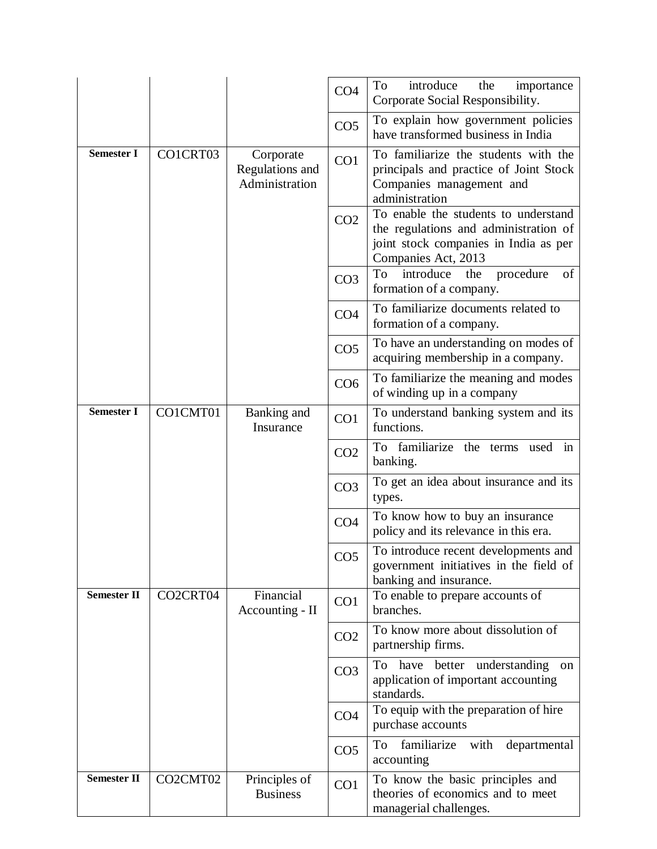|                    |          |                                                | CO <sub>4</sub> | To<br>introduce<br>the<br>importance<br>Corporate Social Responsibility.                                                                      |
|--------------------|----------|------------------------------------------------|-----------------|-----------------------------------------------------------------------------------------------------------------------------------------------|
|                    |          |                                                | CO <sub>5</sub> | To explain how government policies<br>have transformed business in India                                                                      |
| <b>Semester I</b>  | CO1CRT03 | Corporate<br>Regulations and<br>Administration | CO <sub>1</sub> | To familiarize the students with the<br>principals and practice of Joint Stock<br>Companies management and<br>administration                  |
|                    |          |                                                | CO <sub>2</sub> | To enable the students to understand<br>the regulations and administration of<br>joint stock companies in India as per<br>Companies Act, 2013 |
|                    |          |                                                | CO <sub>3</sub> | introduce<br>To<br>the<br>procedure<br>of<br>formation of a company.                                                                          |
|                    |          |                                                | CO <sub>4</sub> | To familiarize documents related to<br>formation of a company.                                                                                |
|                    |          |                                                | CO <sub>5</sub> | To have an understanding on modes of<br>acquiring membership in a company.                                                                    |
|                    |          |                                                | CO6             | To familiarize the meaning and modes<br>of winding up in a company                                                                            |
| <b>Semester I</b>  | CO1CMT01 | Banking and<br>Insurance                       | CO <sub>1</sub> | To understand banking system and its<br>functions.                                                                                            |
|                    |          |                                                | CO <sub>2</sub> | To familiarize the terms used in<br>banking.                                                                                                  |
|                    |          |                                                | CO <sub>3</sub> | To get an idea about insurance and its<br>types.                                                                                              |
|                    |          |                                                | CO <sub>4</sub> | To know how to buy an insurance<br>policy and its relevance in this era.                                                                      |
|                    |          |                                                | CO <sub>5</sub> | To introduce recent developments and<br>government initiatives in the field of<br>banking and insurance.                                      |
| <b>Semester II</b> | CO2CRT04 | Financial<br>Accounting - II                   | CO <sub>1</sub> | To enable to prepare accounts of<br>branches.                                                                                                 |
|                    |          |                                                | CO <sub>2</sub> | To know more about dissolution of<br>partnership firms.                                                                                       |
|                    |          |                                                | CO <sub>3</sub> | To have better understanding<br>on<br>application of important accounting<br>standards.                                                       |
|                    |          |                                                | CO <sub>4</sub> | To equip with the preparation of hire<br>purchase accounts                                                                                    |
|                    |          |                                                | CO <sub>5</sub> | familiarize<br>To<br>departmental<br>with<br>accounting                                                                                       |
| <b>Semester II</b> | CO2CMT02 | Principles of<br><b>Business</b>               | CO <sub>1</sub> | To know the basic principles and<br>theories of economics and to meet<br>managerial challenges.                                               |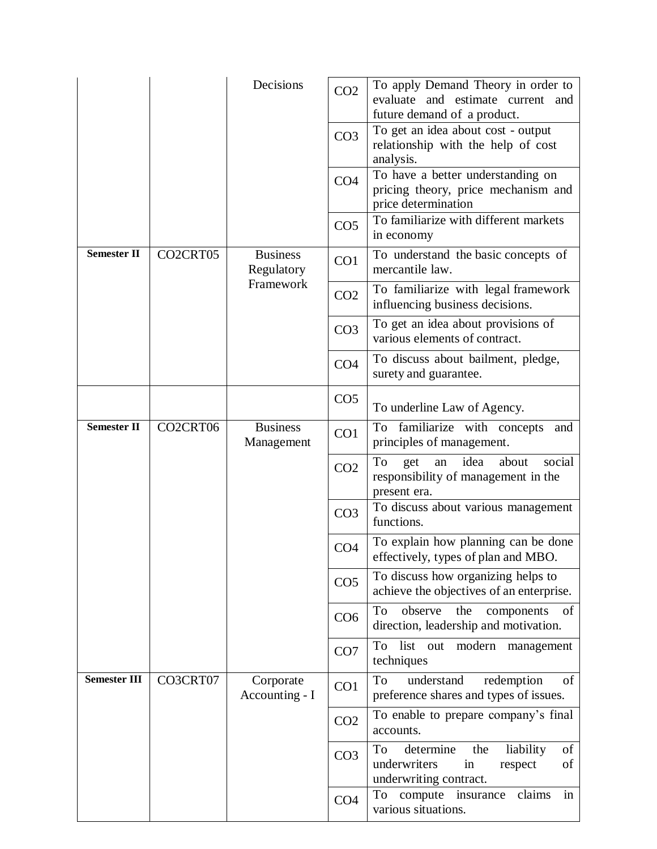|                     |          | Decisions                     | CO <sub>2</sub> | To apply Demand Theory in order to<br>evaluate and estimate current and<br>future demand of a product.     |
|---------------------|----------|-------------------------------|-----------------|------------------------------------------------------------------------------------------------------------|
|                     |          |                               | CO <sub>3</sub> | To get an idea about cost - output<br>relationship with the help of cost<br>analysis.                      |
|                     |          |                               | CO <sub>4</sub> | To have a better understanding on<br>pricing theory, price mechanism and<br>price determination            |
|                     |          |                               | CO <sub>5</sub> | To familiarize with different markets<br>in economy                                                        |
| <b>Semester II</b>  | CO2CRT05 | <b>Business</b><br>Regulatory | CO <sub>1</sub> | To understand the basic concepts of<br>mercantile law.                                                     |
|                     |          | Framework                     | CO <sub>2</sub> | To familiarize with legal framework<br>influencing business decisions.                                     |
|                     |          |                               | CO <sub>3</sub> | To get an idea about provisions of<br>various elements of contract.                                        |
|                     |          |                               | CO <sub>4</sub> | To discuss about bailment, pledge,<br>surety and guarantee.                                                |
|                     |          |                               | CO <sub>5</sub> | To underline Law of Agency.                                                                                |
| <b>Semester II</b>  | CO2CRT06 | <b>Business</b><br>Management | CO <sub>1</sub> | familiarize with concepts<br>To<br>and<br>principles of management.                                        |
|                     |          |                               | CO <sub>2</sub> | idea<br>To<br>social<br>about<br>get<br>an<br>responsibility of management in the<br>present era.          |
|                     |          |                               | CO <sub>3</sub> | To discuss about various management<br>functions.                                                          |
|                     |          |                               | CO <sub>4</sub> | To explain how planning can be done<br>effectively, types of plan and MBO.                                 |
|                     |          |                               | CO <sub>5</sub> | To discuss how organizing helps to<br>achieve the objectives of an enterprise.                             |
|                     |          |                               | CO <sub>6</sub> | To<br>observe<br>the<br>of<br>components<br>direction, leadership and motivation.                          |
|                     |          |                               | CO <sub>7</sub> | To<br>list out<br>modern<br>management<br>techniques                                                       |
| <b>Semester III</b> | CO3CRT07 | Corporate<br>Accounting - I   | CO1             | To<br>understand<br>of<br>redemption<br>preference shares and types of issues.                             |
|                     |          |                               | CO <sub>2</sub> | To enable to prepare company's final<br>accounts.                                                          |
|                     |          |                               | CO <sub>3</sub> | determine<br>of<br>To<br>the<br>liability<br>underwriters<br>of<br>in<br>respect<br>underwriting contract. |
|                     |          |                               | CO <sub>4</sub> | in<br>claims<br>compute insurance<br>To<br>various situations.                                             |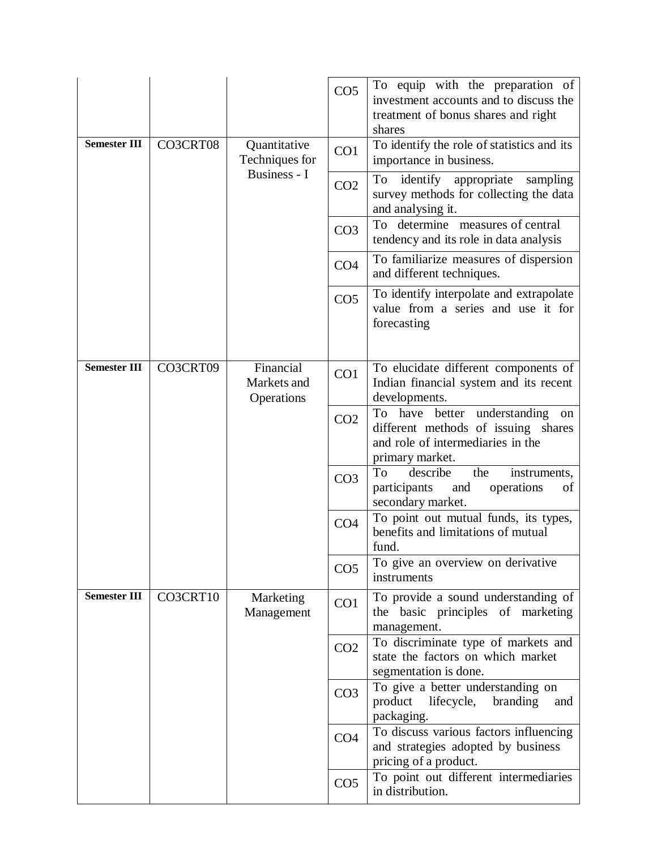|                     |          |                                        | CO <sub>5</sub> | To equip with the preparation of<br>investment accounts and to discuss the<br>treatment of bonus shares and right<br>shares                |
|---------------------|----------|----------------------------------------|-----------------|--------------------------------------------------------------------------------------------------------------------------------------------|
| <b>Semester III</b> | CO3CRT08 | Quantitative<br>Techniques for         | CO <sub>1</sub> | To identify the role of statistics and its<br>importance in business.                                                                      |
|                     |          | Business - I                           | CO <sub>2</sub> | To identify<br>appropriate<br>sampling<br>survey methods for collecting the data<br>and analysing it.                                      |
|                     |          |                                        | CO <sub>3</sub> | To determine measures of central<br>tendency and its role in data analysis                                                                 |
|                     |          |                                        | CO <sub>4</sub> | To familiarize measures of dispersion<br>and different techniques.                                                                         |
|                     |          |                                        | CO <sub>5</sub> | To identify interpolate and extrapolate<br>value from a series and use it for<br>forecasting                                               |
| <b>Semester III</b> | CO3CRT09 | Financial<br>Markets and<br>Operations | CO <sub>1</sub> | To elucidate different components of<br>Indian financial system and its recent<br>developments.                                            |
|                     |          |                                        | CO <sub>2</sub> | have<br>understanding<br>To<br>better<br>on<br>different methods of issuing shares<br>and role of intermediaries in the<br>primary market. |
|                     |          |                                        | CO <sub>3</sub> | describe<br>To<br>the<br>instruments,<br>participants<br>operations<br>and<br>of<br>secondary market.                                      |
|                     |          |                                        | CO <sub>4</sub> | To point out mutual funds, its types,<br>benefits and limitations of mutual<br>fund.                                                       |
|                     |          |                                        | CO <sub>5</sub> | To give an overview on derivative<br>instruments                                                                                           |
| <b>Semester III</b> | CO3CRT10 | Marketing<br>Management                | CO <sub>1</sub> | To provide a sound understanding of<br>the basic principles of marketing<br>management.                                                    |
|                     |          |                                        | CO <sub>2</sub> | To discriminate type of markets and<br>state the factors on which market<br>segmentation is done.                                          |
|                     |          |                                        | CO <sub>3</sub> | To give a better understanding on<br>product<br>lifecycle,<br>branding<br>and<br>packaging.                                                |
|                     |          |                                        | CO <sub>4</sub> | To discuss various factors influencing<br>and strategies adopted by business<br>pricing of a product.                                      |
|                     |          |                                        | CO <sub>5</sub> | To point out different intermediaries<br>in distribution.                                                                                  |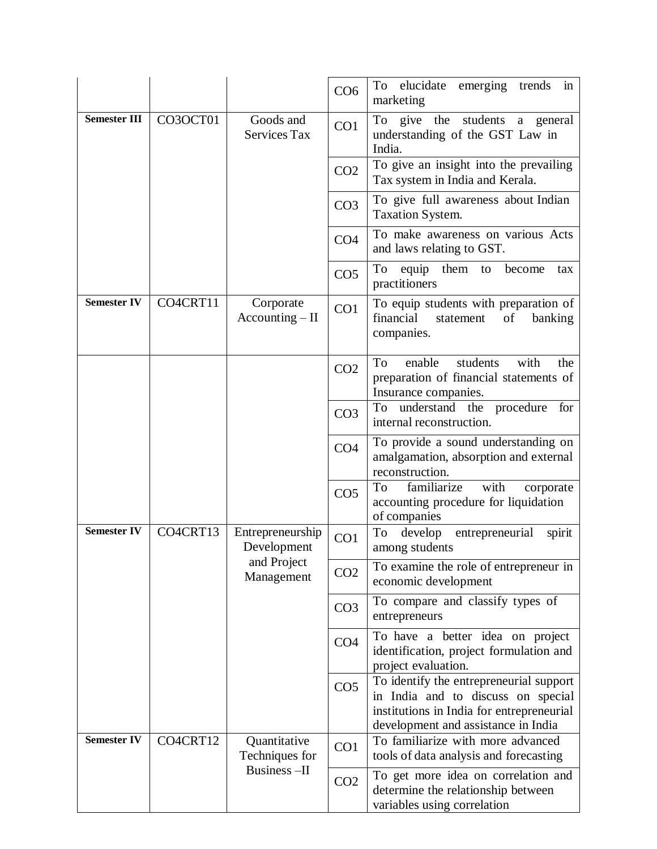|                     |          |                                  | CO <sub>6</sub> | elucidate emerging trends<br>To<br>in<br>marketing                                                                                                                |
|---------------------|----------|----------------------------------|-----------------|-------------------------------------------------------------------------------------------------------------------------------------------------------------------|
| <b>Semester III</b> | CO3OCT01 | Goods and<br><b>Services Tax</b> | CO <sub>1</sub> | To give the students a general<br>understanding of the GST Law in<br>India.                                                                                       |
|                     |          |                                  | CO <sub>2</sub> | To give an insight into the prevailing<br>Tax system in India and Kerala.                                                                                         |
|                     |          |                                  | CO <sub>3</sub> | To give full awareness about Indian<br>Taxation System.                                                                                                           |
|                     |          |                                  | CO <sub>4</sub> | To make awareness on various Acts<br>and laws relating to GST.                                                                                                    |
|                     |          |                                  | CO <sub>5</sub> | To<br>equip them to<br>become<br>tax<br>practitioners                                                                                                             |
| <b>Semester IV</b>  | CO4CRT11 | Corporate<br>$Accounting - II$   | CO <sub>1</sub> | To equip students with preparation of<br>financial<br>of<br>statement<br>banking<br>companies.                                                                    |
|                     |          |                                  | CO <sub>2</sub> | with<br>To<br>enable<br>students<br>the<br>preparation of financial statements of<br>Insurance companies.                                                         |
|                     |          |                                  | CO <sub>3</sub> | understand the procedure<br>To<br>for<br>internal reconstruction.                                                                                                 |
|                     |          |                                  | CO <sub>4</sub> | To provide a sound understanding on<br>amalgamation, absorption and external<br>reconstruction.                                                                   |
|                     |          |                                  | CO <sub>5</sub> | To<br>familiarize<br>with<br>corporate<br>accounting procedure for liquidation<br>of companies                                                                    |
| <b>Semester IV</b>  | CO4CRT13 | Entrepreneurship<br>Development  | CO1             | entrepreneurial<br>To<br>develop<br>spirit<br>among students                                                                                                      |
|                     |          | and Project<br>Management        | CO <sub>2</sub> | To examine the role of entrepreneur in<br>economic development                                                                                                    |
|                     |          |                                  | CO <sub>3</sub> | To compare and classify types of<br>entrepreneurs                                                                                                                 |
|                     |          |                                  | CO <sub>4</sub> | To have a better idea on project<br>identification, project formulation and<br>project evaluation.                                                                |
|                     |          |                                  | CO <sub>5</sub> | To identify the entrepreneurial support<br>in India and to discuss on special<br>institutions in India for entrepreneurial<br>development and assistance in India |
| <b>Semester IV</b>  | CO4CRT12 | Quantitative<br>Techniques for   | CO <sub>1</sub> | To familiarize with more advanced<br>tools of data analysis and forecasting                                                                                       |
|                     |          | Business-II                      | CO <sub>2</sub> | To get more idea on correlation and<br>determine the relationship between<br>variables using correlation                                                          |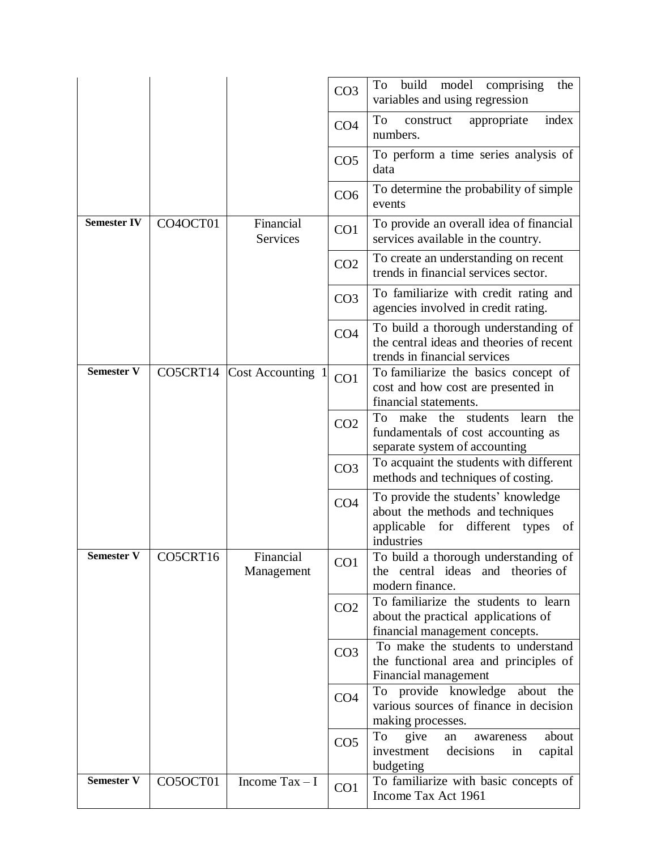|                    |          |                            | CO <sub>3</sub> | build<br>model comprising<br>To<br>the<br>variables and using regression                                                        |
|--------------------|----------|----------------------------|-----------------|---------------------------------------------------------------------------------------------------------------------------------|
|                    |          |                            | CO <sub>4</sub> | To<br>index<br>appropriate<br>construct<br>numbers.                                                                             |
|                    |          |                            | CO <sub>5</sub> | To perform a time series analysis of<br>data                                                                                    |
|                    |          |                            | CO <sub>6</sub> | To determine the probability of simple<br>events                                                                                |
| <b>Semester IV</b> | CO4OCT01 | Financial<br>Services      | CO <sub>1</sub> | To provide an overall idea of financial<br>services available in the country.                                                   |
|                    |          |                            | CO <sub>2</sub> | To create an understanding on recent<br>trends in financial services sector.                                                    |
|                    |          |                            | CO <sub>3</sub> | To familiarize with credit rating and<br>agencies involved in credit rating.                                                    |
|                    |          |                            | CO <sub>4</sub> | To build a thorough understanding of<br>the central ideas and theories of recent<br>trends in financial services                |
| <b>Semester V</b>  |          | CO5CRT14 Cost Accounting 1 | CO <sub>1</sub> | To familiarize the basics concept of<br>cost and how cost are presented in<br>financial statements.                             |
|                    |          |                            | CO <sub>2</sub> | To<br>make the<br>students<br>learn<br>the<br>fundamentals of cost accounting as<br>separate system of accounting               |
|                    |          |                            | CO <sub>3</sub> | To acquaint the students with different<br>methods and techniques of costing.                                                   |
|                    |          |                            | CO <sub>4</sub> | To provide the students' knowledge<br>about the methods and techniques<br>applicable for<br>of<br>different types<br>industries |
| Semester V         | CO5CRT16 | Financial<br>Management    | CO1             | To build a thorough understanding of<br>the central ideas and theories of<br>modern finance.                                    |
|                    |          |                            | CO <sub>2</sub> | To familiarize the students to learn<br>about the practical applications of<br>financial management concepts.                   |
|                    |          |                            | CO <sub>3</sub> | To make the students to understand<br>the functional area and principles of<br>Financial management                             |
|                    |          |                            | CO <sub>4</sub> | To provide knowledge about the<br>various sources of finance in decision<br>making processes.                                   |
|                    |          |                            | CO <sub>5</sub> | To<br>give<br>about<br>an<br>awareness<br>investment<br>decisions<br>capital<br>in<br>budgeting                                 |
| <b>Semester V</b>  | CO5OCT01 | Income $Tax - I$           | CO1             | To familiarize with basic concepts of<br>Income Tax Act 1961                                                                    |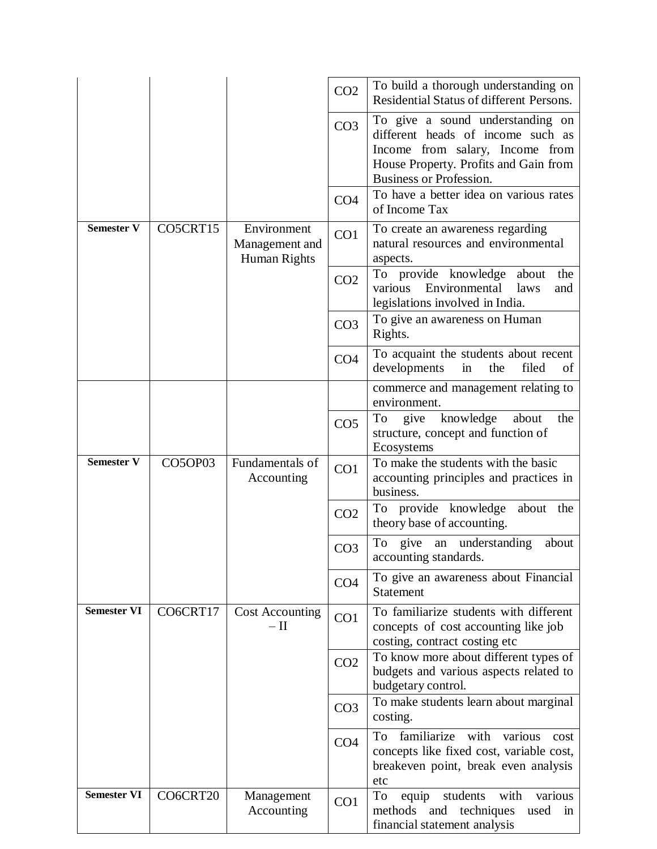|                    |          |                                               | CO <sub>2</sub> | To build a thorough understanding on<br>Residential Status of different Persons.                                                        |
|--------------------|----------|-----------------------------------------------|-----------------|-----------------------------------------------------------------------------------------------------------------------------------------|
|                    |          |                                               | CO <sub>3</sub> | To give a sound understanding on<br>different heads of income such as                                                                   |
|                    |          |                                               |                 | Income from salary, Income from<br>House Property. Profits and Gain from<br><b>Business or Profession.</b>                              |
|                    |          |                                               | CO <sub>4</sub> | To have a better idea on various rates<br>of Income Tax                                                                                 |
| <b>Semester V</b>  | CO5CRT15 | Environment<br>Management and<br>Human Rights | CO <sub>1</sub> | To create an awareness regarding<br>natural resources and environmental<br>aspects.                                                     |
|                    |          |                                               | CO <sub>2</sub> | To provide knowledge about<br>the<br>Environmental<br>various<br>laws<br>and<br>legislations involved in India.                         |
|                    |          |                                               | CO <sub>3</sub> | To give an awareness on Human<br>Rights.                                                                                                |
|                    |          |                                               | CO <sub>4</sub> | To acquaint the students about recent<br>developments<br>filed<br>in<br>the<br>of                                                       |
|                    |          |                                               |                 | commerce and management relating to<br>environment.                                                                                     |
|                    |          |                                               | CO <sub>5</sub> | To<br>knowledge<br>give<br>about<br>the<br>structure, concept and function of<br>Ecosystems                                             |
|                    |          |                                               |                 |                                                                                                                                         |
| <b>Semester V</b>  | CO5OP03  | Fundamentals of<br>Accounting                 | CO <sub>1</sub> | To make the students with the basic<br>accounting principles and practices in<br>business.                                              |
|                    |          |                                               | CO <sub>2</sub> | To provide knowledge<br>about<br>the<br>theory base of accounting.                                                                      |
|                    |          |                                               | CO <sub>3</sub> | To<br>give an understanding<br>about<br>accounting standards.                                                                           |
|                    |          |                                               | CO <sub>4</sub> | To give an awareness about Financial<br><b>Statement</b>                                                                                |
| <b>Semester VI</b> | CO6CRT17 | <b>Cost Accounting</b><br>$-\amalg$           | CO <sub>1</sub> | To familiarize students with different<br>concepts of cost accounting like job                                                          |
|                    |          |                                               | CO <sub>2</sub> | costing, contract costing etc<br>To know more about different types of<br>budgets and various aspects related to<br>budgetary control.  |
|                    |          |                                               | CO <sub>3</sub> | To make students learn about marginal<br>costing.                                                                                       |
|                    |          |                                               | CO <sub>4</sub> | To<br>familiarize<br>with<br>various<br>cost<br>concepts like fixed cost, variable cost,<br>breakeven point, break even analysis<br>etc |